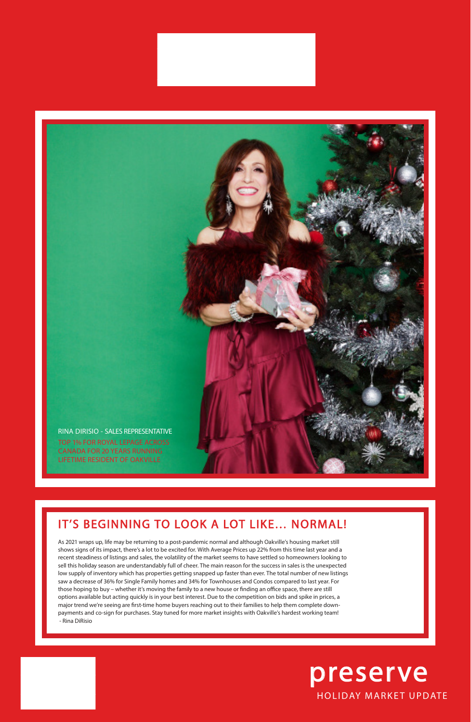## IT'S BEGINNING TO LOOK A LOT LIKE… NORMAL!

As 2021 wraps up, life may be returning to a post-pandemic normal and although Oakville's housing market still

shows signs of its impact, there's a lot to be excited for. With Average Prices up 22% from this time last year and a recent steadiness of listings and sales, the volatility of the market seems to have settled so homeowners looking to sell this holiday season are understandably full of cheer. The main reason for the success in sales is the unexpected low supply of inventory which has properties getting snapped up faster than ever. The total number of new listings saw a decrease of 36% for Single Family homes and 34% for Townhouses and Condos compared to last year. For those hoping to buy – whether it's moving the family to a new house or finding an office space, there are still options available but acting quickly is in your best interest. Due to the competition on bids and spike in prices, a major trend we're seeing are first-time home buyers reaching out to their families to help them complete downpayments and co-sign for purchases. Stay tuned for more market insights with Oakville's hardest working team! - Rina DiRisio

## HOLIDAY MARKET UPDATE preserve